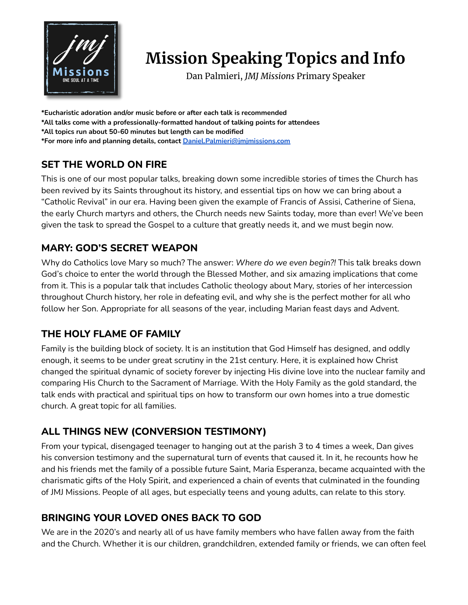

# **Mission Speaking Topics and Info**

Dan Palmieri, *JMJ Missions* Primary Speaker

**\*Eucharistic adoration and/or music before or after each talk is recommended**

- **\*All talks come with a professionally-formatted handout of talking points for attendees**
- **\*All topics run about 50-60 minutes but length can be modified**

**\*For more info and planning details, contact [Daniel.Palmieri@jmjmissions.com](mailto:Daniel.Palmieri@jmjmissions.com)**

## **SET THE WORLD ON FIRE**

This is one of our most popular talks, breaking down some incredible stories of times the Church has been revived by its Saints throughout its history, and essential tips on how we can bring about a "Catholic Revival" in our era. Having been given the example of Francis of Assisi, Catherine of Siena, the early Church martyrs and others, the Church needs new Saints today, more than ever! We've been given the task to spread the Gospel to a culture that greatly needs it, and we must begin now.

## **MARY: GOD'S SECRET WEAPON**

Why do Catholics love Mary so much? The answer: *Where do we even begin?!* This talk breaks down God's choice to enter the world through the Blessed Mother, and six amazing implications that come from it. This is a popular talk that includes Catholic theology about Mary, stories of her intercession throughout Church history, her role in defeating evil, and why she is the perfect mother for all who follow her Son. Appropriate for all seasons of the year, including Marian feast days and Advent.

### **THE HOLY FLAME OF FAMILY**

Family is the building block of society. It is an institution that God Himself has designed, and oddly enough, it seems to be under great scrutiny in the 21st century. Here, it is explained how Christ changed the spiritual dynamic of society forever by injecting His divine love into the nuclear family and comparing His Church to the Sacrament of Marriage. With the Holy Family as the gold standard, the talk ends with practical and spiritual tips on how to transform our own homes into a true domestic church. A great topic for all families.

# **ALL THINGS NEW (CONVERSION TESTIMONY)**

From your typical, disengaged teenager to hanging out at the parish 3 to 4 times a week, Dan gives his conversion testimony and the supernatural turn of events that caused it. In it, he recounts how he and his friends met the family of a possible future Saint, Maria Esperanza, became acquainted with the charismatic gifts of the Holy Spirit, and experienced a chain of events that culminated in the founding of JMJ Missions. People of all ages, but especially teens and young adults, can relate to this story.

# **BRINGING YOUR LOVED ONES BACK TO GOD**

We are in the 2020's and nearly all of us have family members who have fallen away from the faith and the Church. Whether it is our children, grandchildren, extended family or friends, we can often feel